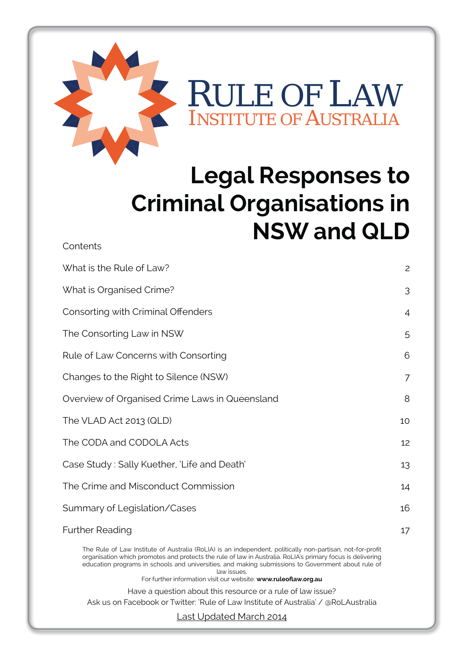

**Contents** 

# **Legal Responses to Criminal Organisations in NSW and QLD**

| What is the Rule of Law?                                                                                                                                                                                                                                                                                                                                                                                         | $\overline{c}$ |
|------------------------------------------------------------------------------------------------------------------------------------------------------------------------------------------------------------------------------------------------------------------------------------------------------------------------------------------------------------------------------------------------------------------|----------------|
| What is Organised Crime?                                                                                                                                                                                                                                                                                                                                                                                         | 3              |
| Consorting with Criminal Offenders                                                                                                                                                                                                                                                                                                                                                                               | 4              |
| The Consorting Law in NSW                                                                                                                                                                                                                                                                                                                                                                                        | 5              |
| Rule of Law Concerns with Consorting                                                                                                                                                                                                                                                                                                                                                                             | 6              |
| Changes to the Right to Silence (NSW)                                                                                                                                                                                                                                                                                                                                                                            | 7              |
| Overview of Organised Crime Laws in Queensland                                                                                                                                                                                                                                                                                                                                                                   | 8              |
| The VLAD Act 2013 (QLD)                                                                                                                                                                                                                                                                                                                                                                                          | 10             |
| The CODA and CODOLA Acts                                                                                                                                                                                                                                                                                                                                                                                         | 12             |
| Case Study: Sally Kuether, 'Life and Death'                                                                                                                                                                                                                                                                                                                                                                      | 13             |
| The Crime and Misconduct Commission                                                                                                                                                                                                                                                                                                                                                                              | 14             |
| Summary of Legislation/Cases                                                                                                                                                                                                                                                                                                                                                                                     | 16             |
| <b>Further Reading</b>                                                                                                                                                                                                                                                                                                                                                                                           | 17             |
| The Rule of Law Institute of Australia (RoLIA) is an independent, politically non-partisan, not-for-profit<br>organisation which promotes and protects the rule of law in Australia. RoLIA's primary focus is delivering<br>education programs in schools and universities, and making submissions to Government about rule of<br>law issues.<br>For further information visit our website: www.ruleoflaw.org.au |                |
| Have a question about this resource or a rule of law issue?                                                                                                                                                                                                                                                                                                                                                      |                |
| Ask us on Facebook or Twitter: 'Rule of Law Institute of Australia' / @RoLAustralia                                                                                                                                                                                                                                                                                                                              |                |

Last Updated March 2014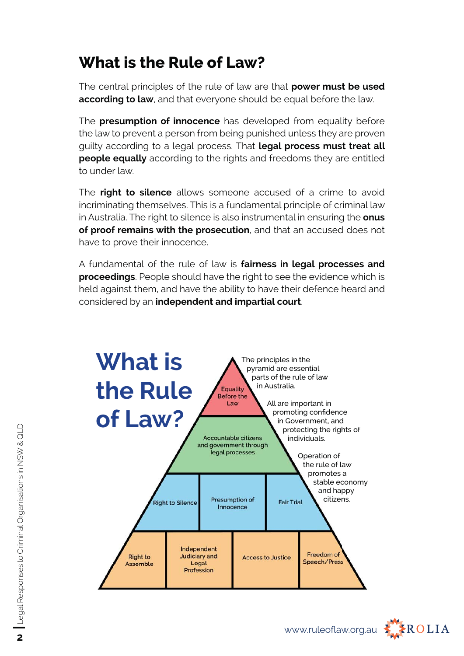# **What is the Rule of Law?**

The central principles of the rule of law are that **power must be used**  according to law, and that everyone should be equal before the law.

The **presumption of innocence** has developed from equality before the law to prevent a person from being punished unless they are proven guilty according to a legal process. That **legal process must treat all people equally** according to the rights and freedoms they are entitled to under law.

The **right to silence** allows someone accused of a crime to avoid incriminating themselves. This is a fundamental principle of criminal law in Australia. The right to silence is also instrumental in ensuring the **onus of proof remains with the prosecution**, and that an accused does not have to prove their innocence.

A fundamental of the rule of law is **fairness in legal processes and proceedings**. People should have the right to see the evidence which is held against them, and have the ability to have their defence heard and considered by an **independent and impartial court**.



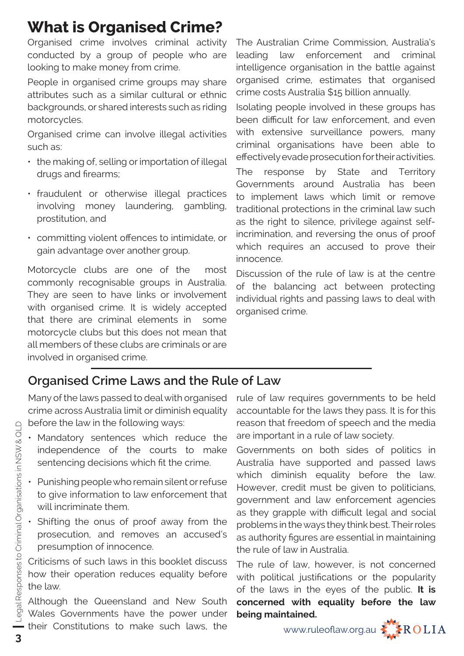# **What is Organised Crime?**

Organised crime involves criminal activity conducted by a group of people who are looking to make money from crime.

People in organised crime groups may share attributes such as a similar cultural or ethnic backgrounds, or shared interests such as riding motorcycles.

Organised crime can involve illegal activities such as:

- the making of, selling or importation of illegal drugs and firearms;
- fraudulent or otherwise illegal practices involving money laundering, gambling, prostitution, and
- committing violent offences to intimidate, or gain advantage over another group.

Motorcycle clubs are one of the most commonly recognisable groups in Australia. They are seen to have links or involvement with organised crime. It is widely accepted that there are criminal elements in some motorcycle clubs but this does not mean that all members of these clubs are criminals or are involved in organised crime.

The Australian Crime Commission, Australia's leading law enforcement and criminal intelligence organisation in the battle against organised crime, estimates that organised crime costs Australia \$15 billion annually.

Isolating people involved in these groups has been difficult for law enforcement, and even with extensive surveillance powers, many criminal organisations have been able to effectively evade prosecution for their activities.

The response by State and Territory Governments around Australia has been to implement laws which limit or remove traditional protections in the criminal law such as the right to silence, privilege against selfincrimination, and reversing the onus of proof which requires an accused to prove their innocence.

Discussion of the rule of law is at the centre of the balancing act between protecting individual rights and passing laws to deal with organised crime.

# **Organised Crime Laws and the Rule of Law**

Many of the laws passed to deal with organised crime across Australia limit or diminish equality before the law in the following ways:

- Mandatory sentences which reduce the independence of the courts to make sentencing decisions which fit the crime.
- Punishing people who remain silent or refuse to give information to law enforcement that will incriminate them.
- Shifting the onus of proof away from the prosecution, and removes an accused's presumption of innocence.

Criticisms of such laws in this booklet discuss how their operation reduces equality before the law.

Although the Queensland and New South Wales Governments have the power under their Constitutions to make such laws, the rule of law requires governments to be held accountable for the laws they pass. It is for this reason that freedom of speech and the media are important in a rule of law society.

Governments on both sides of politics in Australia have supported and passed laws which diminish equality before the law. However, credit must be given to politicians, government and law enforcement agencies as they grapple with difficult legal and social problems in the ways they think best. Their roles as authority figures are essential in maintaining the rule of law in Australia.

The rule of law, however, is not concerned with political justifications or the popularity of the laws in the eyes of the public. **It is concerned with equality before the law being maintained.**

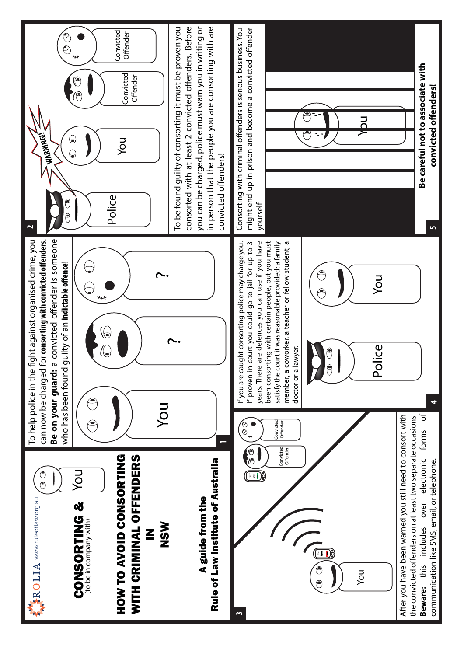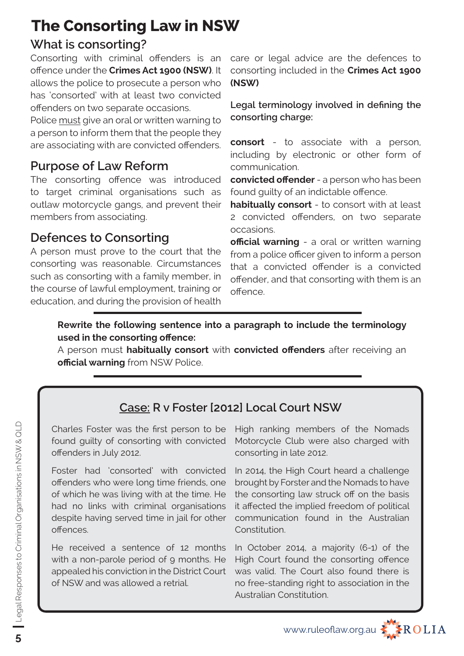# **The Consorting Law in NSW**

# **What is consorting?**

Consorting with criminal offenders is an offence under the **Crimes Act 1900 (NSW)**. It allows the police to prosecute a person who has 'consorted' with at least two convicted offenders on two separate occasions.

Police must give an oral or written warning to a person to inform them that the people they are associating with are convicted offenders.

# **Purpose of Law Reform**

The consorting offence was introduced to target criminal organisations such as outlaw motorcycle gangs, and prevent their members from associating.

# **Defences to Consorting**

A person must prove to the court that the consorting was reasonable. Circumstances such as consorting with a family member, in the course of lawful employment, training or education, and during the provision of health care or legal advice are the defences to consorting included in the **Crimes Act 1900 (NSW)**

Legal terminology involved in defining the **consorting charge:**

**consort** - to associate with a person, including by electronic or other form of communication.

**convicted offender** - a person who has been found guilty of an indictable offence.

**habitually consort** - to consort with at least 2 convicted offenders, on two separate occasions.

**official warning** - a oral or written warning from a police officer given to inform a person that a convicted offender is a convicted offender, and that consorting with them is an offence.

#### **Rewrite the following sentence into a paragraph to include the terminology used in the consorting offence:**

A person must **habitually consort** with **convicted off enders** after receiving an **official warning** from NSW Police.

# **Case: R v Foster [2012] Local Court NSW**

Charles Foster was the first person to be found guilty of consorting with convicted offenders in July 2012.

Foster had 'consorted' with convicted offenders who were long time friends, one of which he was living with at the time. He had no links with criminal organisations despite having served time in jail for other offences.

He received a sentence of 12 months with a non-parole period of 9 months. He appealed his conviction in the District Court of NSW and was allowed a retrial.

High ranking members of the Nomads Motorcycle Club were also charged with consorting in late 2012.

In 2014, the High Court heard a challenge brought by Forster and the Nomads to have the consorting law struck off on the basis it affected the implied freedom of political communication found in the Australian Constitution.

In October 2014, a majority (6-1) of the High Court found the consorting offence was valid. The Court also found there is no free-standing right to association in the Australian Constitution.

www.ruleofl aw.org.au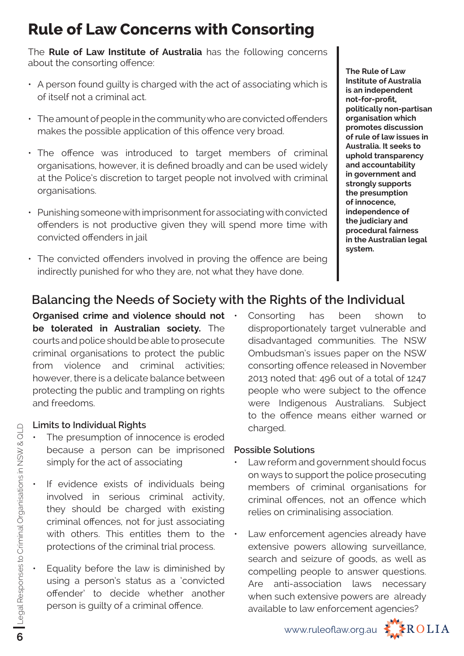# **Rule of Law Concerns with Consorting**

The **Rule of Law Institute of Australia** has the following concerns about the consorting offence:

- A person found guilty is charged with the act of associating which is of itself not a criminal act.
- $\cdot$  The amount of people in the community who are convicted offenders makes the possible application of this offence very broad.
- The offence was introduced to target members of criminal organisations, however, it is defined broadly and can be used widely at the Police's discretion to target people not involved with criminal organisations.
- Punishing someone with imprisonment for associating with convicted offenders is not productive given they will spend more time with convicted offenders in jail
- $\cdot$  The convicted offenders involved in proving the offence are being indirectly punished for who they are, not what they have done.

#### **The Rule of Law Institute of Australia is an independent**  not-for-profit, **politically non-partisan organisation which promotes discussion of rule of law issues in Australia. It seeks to uphold transparency and accountability in government and strongly supports the presumption of innocence, independence of the judiciary and procedural fairness in the Australian legal system.**

# **Balancing the Needs of Society with the Rights of the Individual**

**Organised crime and violence should not be tolerated in Australian society.** The courts and police should be able to prosecute criminal organisations to protect the public from violence and criminal activities; however, there is a delicate balance between protecting the public and trampling on rights and freedoms.

#### **Limits to Individual Rights**

- The presumption of innocence is eroded because a person can be imprisoned simply for the act of associating
- If evidence exists of individuals being involved in serious criminal activity, they should be charged with existing criminal offences, not for just associating with others. This entitles them to the protections of the criminal trial process.
- Equality before the law is diminished by using a person's status as a 'convicted offender' to decide whether another person is guilty of a criminal offence.

Consorting has been shown to disproportionately target vulnerable and disadvantaged communities. The NSW Ombudsman's issues paper on the NSW consorting offence released in November 2013 noted that: 496 out of a total of 1247 people who were subject to the offence were Indigenous Australians. Subject to the offence means either warned or charged.

#### **Possible Solutions**

- Law reform and government should focus on ways to support the police prosecuting members of criminal organisations for criminal offences, not an offence which relies on criminalising association.
- Law enforcement agencies already have extensive powers allowing surveillance, search and seizure of goods, as well as compelling people to answer questions. Are anti-association laws necessary when such extensive powers are already available to law enforcement agencies?

www.ruleoflaw.org.au **KAROLIA** 

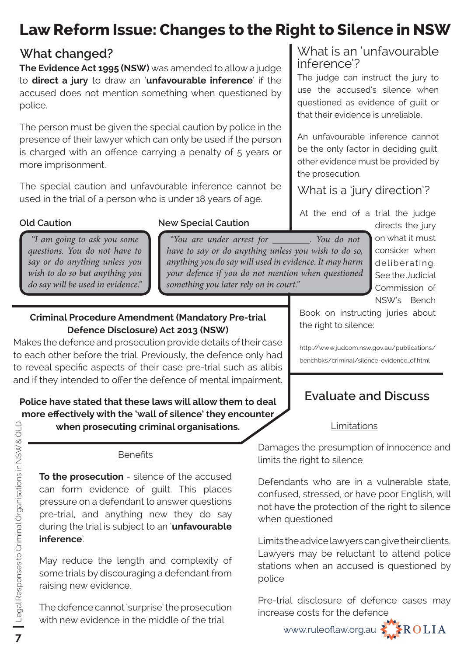# **Law Reform Issue: Changes to the Right to Silence in NSW**

## **What changed?**

**The Evidence Act 1995 (NSW)** was amended to allow a judge to **direct a jury** to draw an '**unfavourable inference**' if the accused does not mention something when questioned by police.

The person must be given the special caution by police in the presence of their lawyer which can only be used if the person is charged with an offence carrying a penalty of 5 years or more imprisonment.

The special caution and unfavourable inference cannot be used in the trial of a person who is under 18 years of age.

*"I am going to ask you some questions. You do not have to say or do anything unless you wish to do so but anything you do say will be used in evidence."*

## **Old Caution New Special Caution**

*"You are under arrest for \_\_\_\_\_\_\_\_. You do not have to say or do anything unless you wish to do so, anything you do say will used in evidence. It may harm your defence if you do not mention when questioned something you later rely on in court."*

#### **Criminal Procedure Amendment (Mandatory Pre-trial Defence Disclosure) Act 2013 (NSW)**

Makes the defence and prosecution provide details of their case to each other before the trial. Previously, the defence only had to reveal specific aspects of their case pre-trial such as alibis and if they intended to offer the defence of mental impairment.

## **Police have stated that these laws will allow them to deal**  more effectively with the 'wall of silence' they encounter

**when prosecuting criminal organisations.**

#### **Benefits**

**To the prosecution** - silence of the accused can form evidence of guilt. This places pressure on a defendant to answer questions pre-trial, and anything new they do say during the trial is subject to an '**unfavourable inference**'.

May reduce the length and complexity of some trials by discouraging a defendant from raising new evidence.

The defence cannot 'surprise' the prosecution with new evidence in the middle of the trial

### What is an 'unfavourable inference'?

The judge can instruct the jury to use the accused's silence when questioned as evidence of guilt or that their evidence is unreliable.

An unfavourable inference cannot be the only factor in deciding guilt, other evidence must be provided by the prosecution.

What is a 'jury direction'?

At the end of a trial the judge

directs the jury on what it must consider when deliberating. See the Judicial Commission of NSW's Bench

Book on instructing juries about the right to silence:

http://www.judcom.nsw.gov.au/publications/ benchbks/criminal/silence-evidence\_of.html

# **Evaluate and Discuss**

#### Limitations

Damages the presumption of innocence and limits the right to silence

Defendants who are in a vulnerable state, confused, stressed, or have poor English, will not have the protection of the right to silence when questioned

Limits the advice lawyers can give their clients. Lawyers may be reluctant to attend police stations when an accused is questioned by police

Pre-trial disclosure of defence cases may increase costs for the defence

www.ruleofl aw.org.au

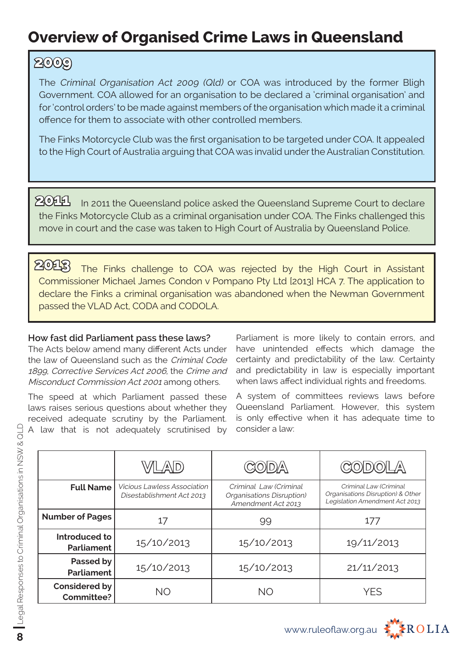# **Overview of Organised Crime Laws in Queensland**

# **2009**

The Criminal Organisation Act 2009 (Qld) or COA was introduced by the former Bligh Government. COA allowed for an organisation to be declared a 'criminal organisation' and for 'control orders' to be made against members of the organisation which made it a criminal offence for them to associate with other controlled members.

The Finks Motorcycle Club was the first organisation to be targeted under COA. It appealed to the High Court of Australia arguing that COA was invalid under the Australian Constitution.

 $204$  In 2011 the Queensland police asked the Queensland Supreme Court to declare the Finks Motorcycle Club as a criminal organisation under COA. The Finks challenged this move in court and the case was taken to High Court of Australia by Queensland Police.

The Finks challenge to COA was rejected by the High Court in Assistant Commissioner Michael James Condon v Pompano Pty Ltd [2013] HCA 7. The application to declare the Finks a criminal organisation was abandoned when the Newman Government passed the VLAD Act, CODA and CODOLA. **2013**

#### **How fast did Parliament pass these laws?**

The Acts below amend many different Acts under the law of Queensland such as the Criminal Code 1899, Corrective Services Act 2006, the Crime and Misconduct Commission Act 2001 among others.

The speed at which Parliament passed these laws raises serious questions about whether they received adequate scrutiny by the Parliament. A law that is not adequately scrutinised by

Parliament is more likely to contain errors, and have unintended effects which damage the certainty and predictability of the law. Certainty and predictability in law is especially important when laws affect individual rights and freedoms.

A system of committees reviews laws before Queensland Parliament. However, this system is only effective when it has adequate time to consider a law:

|                                           |                                                                 |                                                                           | )) L/A\                                                                                       |
|-------------------------------------------|-----------------------------------------------------------------|---------------------------------------------------------------------------|-----------------------------------------------------------------------------------------------|
| <b>Full Name</b>                          | <b>Vicious Lawless Association</b><br>Disestablishment Act 2013 | Criminal Law (Criminal<br>Organisations Disruption)<br>Amendment Act 2013 | Criminal Law (Criminal<br>Organisations Disruption) & Other<br>Legislation Amendment Act 2013 |
| <b>Number of Pages</b>                    | 17                                                              | 99                                                                        | 177                                                                                           |
| Introduced to<br>Parliament               | 15/10/2013                                                      | 15/10/2013                                                                | 19/11/2013                                                                                    |
| Passed by<br>Parliament                   | 15/10/2013                                                      | 15/10/2013                                                                | 21/11/2013                                                                                    |
| <b>Considered by</b><br><b>Committee?</b> | <b>NO</b>                                                       | <b>NO</b>                                                                 | YFS                                                                                           |

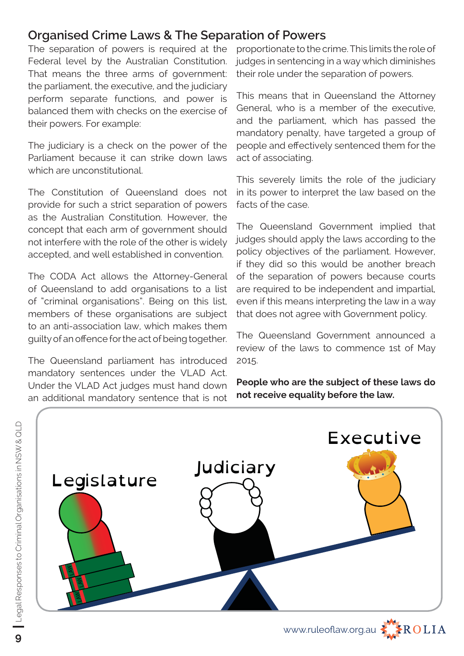## **Organised Crime Laws & The Separation of Powers**

The separation of powers is required at the Federal level by the Australian Constitution. That means the three arms of government: the parliament, the executive, and the judiciary perform separate functions, and power is balanced them with checks on the exercise of their powers. For example:

The judiciary is a check on the power of the Parliament because it can strike down laws which are unconstitutional.

The Constitution of Queensland does not provide for such a strict separation of powers as the Australian Constitution. However, the concept that each arm of government should not interfere with the role of the other is widely accepted, and well established in convention.

The CODA Act allows the Attorney-General of Queensland to add organisations to a list of "criminal organisations". Being on this list, members of these organisations are subject to an anti-association law, which makes them guilty of an offence for the act of being together.

The Queensland parliament has introduced mandatory sentences under the VLAD Act. Under the VLAD Act judges must hand down an additional mandatory sentence that is not

proportionate to the crime. This limits the role of judges in sentencing in a way which diminishes their role under the separation of powers.

This means that in Queensland the Attorney General, who is a member of the executive, and the parliament, which has passed the mandatory penalty, have targeted a group of people and effectively sentenced them for the act of associating.

This severely limits the role of the judiciary in its power to interpret the law based on the facts of the case.

The Queensland Government implied that judges should apply the laws according to the policy objectives of the parliament. However, if they did so this would be another breach of the separation of powers because courts are required to be independent and impartial, even if this means interpreting the law in a way that does not agree with Government policy.

The Queensland Government announced a review of the laws to commence 1st of May 2015.

**People who are the subject of these laws do not receive equality before the law.**

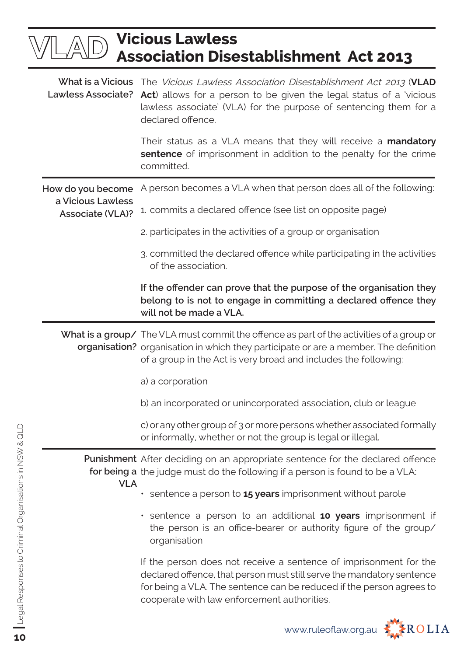|                                              | <b>Vicious Lawless</b><br><b>Association Disestablishment Act 2013</b>                                                                                                                                                                                            |
|----------------------------------------------|-------------------------------------------------------------------------------------------------------------------------------------------------------------------------------------------------------------------------------------------------------------------|
| <b>Lawless Associate?</b>                    | What is a Vicious The Vicious Lawless Association Disestablishment Act 2013 (VLAD<br>Act) allows for a person to be given the legal status of a 'vicious<br>lawless associate' (VLA) for the purpose of sentencing them for a<br>declared offence.                |
|                                              | Their status as a VLA means that they will receive a <b>mandatory</b><br>sentence of imprisonment in addition to the penalty for the crime<br>committed.                                                                                                          |
| How do you become                            | A person becomes a VLA when that person does all of the following:                                                                                                                                                                                                |
| a Vicious Lawless<br><b>Associate (VLA)?</b> | 1. commits a declared offence (see list on opposite page)                                                                                                                                                                                                         |
|                                              | 2. participates in the activities of a group or organisation                                                                                                                                                                                                      |
|                                              | 3. committed the declared offence while participating in the activities<br>of the association.                                                                                                                                                                    |
|                                              | If the offender can prove that the purpose of the organisation they<br>belong to is not to engage in committing a declared offence they<br>will not be made a VLA.                                                                                                |
|                                              | What is a group/ The VLA must commit the offence as part of the activities of a group or<br>organisation? organisation in which they participate or are a member. The definition<br>of a group in the Act is very broad and includes the following:               |
|                                              | a) a corporation                                                                                                                                                                                                                                                  |
|                                              | b) an incorporated or unincorporated association, club or league                                                                                                                                                                                                  |
|                                              | c) or any other group of 3 or more persons whether associated formally<br>or informally, whether or not the group is legal or illegal.                                                                                                                            |
|                                              | <b>Punishment</b> After deciding on an appropriate sentence for the declared offence<br>for being a the judge must do the following if a person is found to be a VLA:                                                                                             |
| <b>VLA</b>                                   | sentence a person to 15 years imprisonment without parole                                                                                                                                                                                                         |
|                                              | • sentence a person to an additional 10 years imprisonment if<br>the person is an office-bearer or authority figure of the group/<br>organisation                                                                                                                 |
|                                              | If the person does not receive a sentence of imprisonment for the<br>declared offence, that person must still serve the mandatory sentence<br>for being a VLA. The sentence can be reduced if the person agrees to<br>cooperate with law enforcement authorities. |
|                                              |                                                                                                                                                                                                                                                                   |

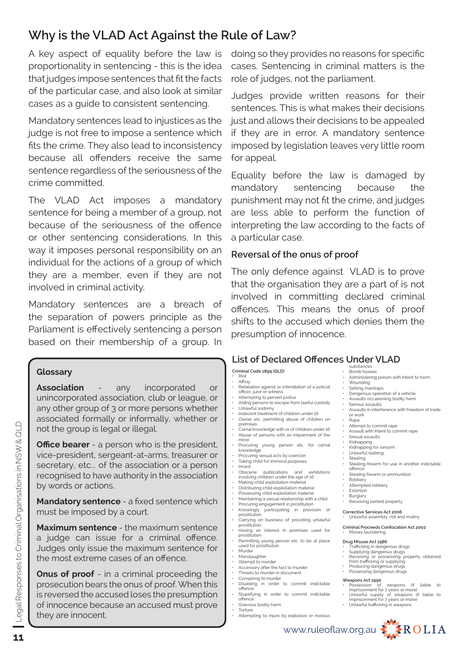# **Why is the VLAD Act Against the Rule of Law?**

A key aspect of equality before the law is proportionality in sentencing - this is the idea that judges impose sentences that fit the facts of the particular case, and also look at similar cases as a guide to consistent sentencing.

Mandatory sentences lead to injustices as the judge is not free to impose a sentence which fits the crime. They also lead to inconsistency because all offenders receive the same sentence regardless of the seriousness of the crime committed.

The VLAD Act imposes a mandatory sentence for being a member of a group, not because of the seriousness of the offence or other sentencing considerations. In this way it imposes personal responsibility on an individual for the actions of a group of which they are a member, even if they are not involved in criminal activity.

Mandatory sentences are a breach of the separation of powers principle as the Parliament is effectively sentencing a person based on their membership of a group. In

#### **Glossary**

**Association** - any incorporated or unincorporated association, club or league, or any other group of 3 or more persons whether associated formally or informally, whether or not the group is legal or illegal.

**Office bearer** - a person who is the president, vice-president, sergeant-at-arms, treasurer or secretary, etc... of the association or a person recognised to have authority in the association by words or actions.

**Mandatory sentence** - a fixed sentence which must be imposed by a court.

**Maximum sentence** - the maximum sentence a judge can issue for a criminal offence. Judges only issue the maximum sentence for the most extreme cases of an offence.

**Onus of proof** - in a criminal proceeding the prosecution bears the onus of proof. When this is reversed the accused loses the presumption of innocence because an accused must prove they are innocent.

doing so they provides no reasons for specific cases. Sentencing in criminal matters is the role of judges, not the parliament.

Judges provide written reasons for their sentences. This is what makes their decisions just and allows their decisions to be appealed if they are in error. A mandatory sentence imposed by legislation leaves very little room for appeal.

Equality before the law is damaged by mandatory sentencing because the punishment may not fit the crime, and judges are less able to perform the function of interpreting the law according to the facts of a particular case.

#### **Reversal of the onus of proof**

The only defence against VLAD is to prove that the organisation they are a part of is not involved in committing declared criminal offences. This means the onus of proof shifts to the accused which denies them the presumption of innocence.

#### **List of Declared Offences Under VLAD** substance

#### **Criminal Code 1899 (QLD)**

- Riot Affray
- Retaliation against or intimidation of a judicial officer, juror or witness
- Attempting to pervert justice • Aiding persons to escape from lawful custody
- Unlawful sodomy
- Indecent treatment of children under 16
- Owner etc. permitting abuse of children on premises
- Carnal knowledge with or of children under 16 • Abuse of persons with an impairment of the mind
- Procuring young person etc. for carnal knowledge
- Procuring sexual acts by coercion Taking child for immoral purposes
- Incest • Obscene publications and exhibitions involving children under the age of 16
- Making child exploitation material
- Distributing child exploitation material • Possessing child exploitation material
- Maintaining a sexual relationship with a child
- Procuring engagement in prostitution Knowingly participating in provision of
- prostitution • Carrying on business of providing unlawful prostitution
- Having an interest in premises used for prostitution
- Permitting young person etc. to be at place used for prostitution
- Murder
- **Manslaughter**
- Attempt to murder • Accessory after the fact to murder
- Threats to murder in document
- Conspiring to murder
- Disabling in order to commit indictable offence
- Stupefying in order to commit indictable offence
- Grievous bodily harm **Torture**
- Attempting to injure by explosive or noxious
- Bomb hoaxes
- Administering poison with intent to harm • Wounding
- Setting mantraps
- Dangerous operation of a vehicle
- Assaults occasioning bodily harm • Serious assaults
- Assaults in interference with freedom of trade or work
- Rape<br>• Attem
- Attempt to commit rape
- Assault with intent to commit rape • Sexual assaults
- Kidnapping<br>• Kidnapping
- Kidnapping for ransom Unlawful stalking
- Stealing
- Stealing firearm for use in another indictable
- offence • Stealing firearm or ammunition
- Robbery
- Attempted robbery **Extortion**
- **Burglary**
- Receiving tainted property

**Corrective Services Act 2006** • Unlawful assembly, riot and mutiny

#### **Criminal Proceeds Confi scation Act 2002** Money laundering

- **Drug Misuse Act 1986**
- Trafficking in dangerous drugs • Supplying dangerous drugs
- Receiving or possessing property obtained<br>from trafficking or supplying<br>• Producing dangerous drugs
- 
- Possessing dangerous drugs

- **Weapons Act 1990** Possession of weapons (if liable to
- imprisonment for 7 years or more) Unlawful supply of weapons (if liable to imprisonment for 7 years or more)
- Unlawful trafficking in weapons



 $\bigcap_{i=1}^n$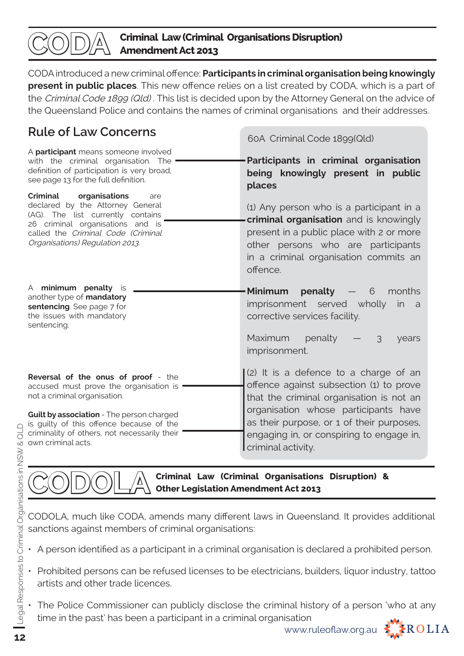

CODA introduced a new criminal offence: **Participants in criminal organisation being knowingly present in public places**. This new offence relies on a list created by CODA, which is a part of the Criminal Code 1899 (Qld) . This list is decided upon by the Attorney General on the advice of the Queensland Police and contains the names of criminal organisations and their addresses.

# **Rule of Law Concerns**

60A Criminal Code 1899(Qld) **Participants in criminal organisation being knowingly present in public places** (1) Any person who is a participant in a **criminal organisation** and is knowingly present in a public place with 2 or more other persons who are participants in a criminal organisation commits an offence. **Minimum penalty** — 6 months imprisonment served wholly in a corrective services facility. Maximum penalty  $-$  3 years imprisonment. (2) It is a defence to a charge of an offence against subsection (1) to prove that the criminal organisation is not an organisation whose participants have as their purpose, or 1 of their purposes, engaging in, or conspiring to engage in, criminal activity. A **participant** means someone involved with the criminal organisation. The definition of participation is very broad, see page 13 for the full definition. **Criminal organisations** are declared by the Attorney General (AG). The list currently contains 26 criminal organisations and is called the Criminal Code (Criminal Organisations) Regulation 2013. A **minimum penalty** is another type of **mandatory sentencing**. See page 7 for the issues with mandatory sentencing. **Reversal of the onus of proof** - the accused must prove the organisation is not a criminal organisation. **Guilt by association** - The person charged is quilty of this offence because of the criminality of others, not necessarily their own criminal acts.

**Criminal Law (Criminal Organisations Disruption) & Other Legislation Amendment Act 2013**

CODOLA, much like CODA, amends many different laws in Queensland. It provides additional sanctions against members of criminal organisations:

- A person identified as a participant in a criminal organisation is declared a prohibited person.
- Prohibited persons can be refused licenses to be electricians, builders, liquor industry, tattoo artists and other trade licences.
- The Police Commissioner can publicly disclose the criminal history of a person 'who at any time in the past' has been a participant in a criminal organisation

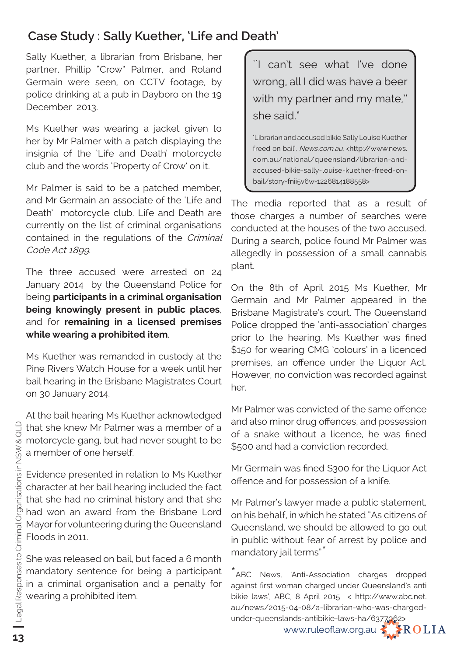# **Case Study : Sally Kuether, 'Life and Death'**

Sally Kuether, a librarian from Brisbane, her partner, Phillip "Crow" Palmer, and Roland Germain were seen, on CCTV footage, by police drinking at a pub in Dayboro on the 19 December 2013.

Ms Kuether was wearing a jacket given to her by Mr Palmer with a patch displaying the insignia of the 'Life and Death' motorcycle club and the words 'Property of Crow' on it.

Mr Palmer is said to be a patched member, and Mr Germain an associate of the 'Life and Death' motorcycle club. Life and Death are currently on the list of criminal organisations contained in the regulations of the Criminal Code Act 1899.

The three accused were arrested on 24 January 2014 by the Queensland Police for being **participants in a criminal organisation being knowingly present in public places**, and for **remaining in a licensed premises while wearing a prohibited item**.

Ms Kuether was remanded in custody at the Pine Rivers Watch House for a week until her bail hearing in the Brisbane Magistrates Court on 30 January 2014.

At the bail hearing Ms Kuether acknowledged that she knew Mr Palmer was a member of a motorcycle gang, but had never sought to be a member of one herself.

Evidence presented in relation to Ms Kuether character at her bail hearing included the fact that she had no criminal history and that she had won an award from the Brisbane Lord Mayor for volunteering during the Queensland Floods in 2011.

She was released on bail, but faced a 6 month mandatory sentence for being a participant in a criminal organisation and a penalty for wearing a prohibited item.

``I can't see what I've done wrong, all I did was have a beer with my partner and my mate," she said."

'Librarian and accused bikie Sally Louise Kuether freed on bail', News.com.au, <http://www.news. com.au/national/queensland/librarian-andaccused-bikie-sally-louise-kuether-freed-onbail/story-fnii5v6w-1226814188558>

The media reported that as a result of those charges a number of searches were conducted at the houses of the two accused. During a search, police found Mr Palmer was allegedly in possession of a small cannabis plant.

On the 8th of April 2015 Ms Kuether, Mr Germain and Mr Palmer appeared in the Brisbane Magistrate's court. The Queensland Police dropped the 'anti-association' charges prior to the hearing. Ms Kuether was fined \$150 for wearing CMG 'colours' in a licenced premises, an offence under the Liquor Act. However, no conviction was recorded against her.

Mr Palmer was convicted of the same offence and also minor drug offences, and possession of a snake without a licence, he was fined \$500 and had a conviction recorded.

Mr Germain was fined \$300 for the Liquor Act offence and for possession of a knife.

Mr Palmer's lawyer made a public statement, on his behalf, in which he stated "As citizens of Queensland, we should be allowed to go out in public without fear of arrest by police and mandatory jail terms"

ABC News, 'Anti-Association charges dropped against first woman charged under Queensland's anti bikie laws', ABC, 8 April 2015 < http://www.abc.net. au/news/2015-04-08/a-librarian-who-was-chargedunder-queenslands-antibikie-laws-ha/6377062>

www.ruleoflaw.org.au  $\leq$   $\leq$  ROLIA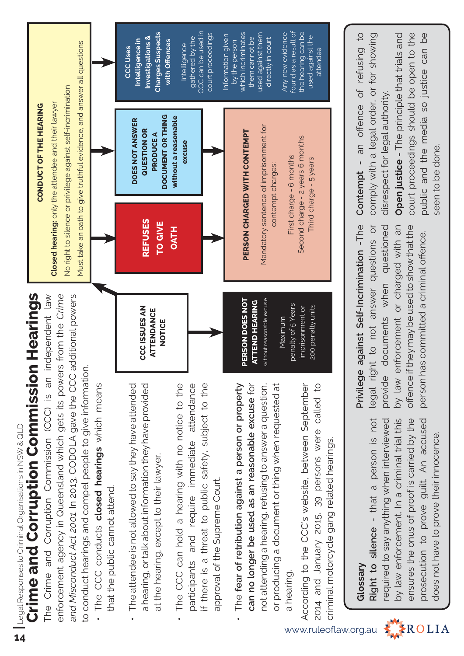**Crime and Corruption Commission Hearings Crime and Corruption Commission Hearings 1** Legal Responses to Criminal Organisations in NSW & QLD Legal Responses to Criminal Organisations in NSW & QLD

**CONDUCT OF THE HEARING**

CONDUCT OF THE HEARING

The Crime and Corruption Commission (CCC) is an independent law and Misconduct Act 2001. In 2013, CODOLA gave the CCC additional powers The Crime and Corruption Commission (CCC) is an independent law enforcement agency in Queensland which gets its powers from the Crime and Misconduct Act 2001. In 2013, CODOLA gave the CCC additional powers enforcement agency in Queensland which gets its powers from the to conduct hearings and compel people to give information. to conduct hearings and compel people to give information.

- The CCC conducts **closed hearings** which means . The CCC conducts closed hearings which means that the public cannot attend. that the public cannot attend.
- The attendee is not allowed to say they have attended a hearing, or talk about information they have provided The attendee is not allowed to say they have attended a hearing, or talk about information they have provided at the hearing, except to their lawyer. at the hearing, except to their lawyer.
- The CCC can hold a hearing with no notice to the participants and require immediate attendance if there is a threat to public safety, subject to the The CCC can hold a hearing with no notice to the participants and require immediate attendance if there is a threat to public safety, subject to the approval of the Supreme Court. approval of the Supreme Court.
- The **fear of retribution against a person or property can no longer be used as an reasonable excuse** for not attending a hearing, refusing to answer a question, or producing a document or thing when requested at The fear of retribution against a person or property can no longer be used as an reasonable excuse for not attending a hearing, refusing to answer a question, or producing a document or thing when requested at a hearing.

According to the CCC's website, between September 2014 and January 2015, 39 persons were called to According to the CCC's website, between September 2014 and January 2015, 39 persons were called to criminal motorcycle gang related hearings. criminal motorcycle gang related hearings.

CCC can be used in CCC can be used in found as a result of **Charges Suspects**  which incriminates used against them the hearing can be **Charges Suspects** Any new evidence found as a result of the hearing can be court proceedings Information given which incriminates used against them Any new evidence Investigations & court proceedings nformation given used against the **Investigations &**  used against the gathered by the gathered by the them cannot be them cannot be directly in court Intelligence in **Intelligence in**  with Offences directly in court by the person by the person Must take an oath to give truthful evidence, and answer all questions **with Off ences** Intelligence Must take an oath to give truthful evidence, and answer all questions Intelligence CCC Uses **CCC Uses**  attendee attendee No right to silence or privilege against self-incrimination No right to silence or privilege against self-incrimination Closed hearing: only the attendee and their lawyer **Closed hearing:** only the attendee and their lawyer DOCUMENT OR THING **DOCUMENT OR THING without a reasonable**  without a reasonable  **DOES NOT ANSWER**  DOES NOT ANSWER Mandatory sentence of imprisonment for Mandatory sentence of imprisonment for **QUESTION OR QUESTION OR** PERSON CHARGED WITH CONTEMPT **PERSON CHARGED WITH CONTEMPT PRODUCE A PRODUCE A** Second charge - 2 years 6 months Second charge - 2 years 6 months excuse **excuse** First charge - 6 months First charge - 6 months Third charge - 5 years Third charge - 5 years contempt charges: contempt charges: **REFUSES REFUSES TO GIVE**  TO GIVE **OATHPERSON DOES NOT**  PERSON DOES NOT ATTEND HEARING **ATTEND HEARING**  without reasonable excuse without reasonable excuse penalty of 5 Years penalty of 5 Years 200 penalty units **CCC ISSUES AN**  imprisonment or **CCC ISSUES AN** imprisonment or 200 penalty units **ATTENDANCE ATTENDANCE**  Maximum Maximum **NOTICE**

# **Glossary**

**Right to silence** - that a person is not required to say anything when interviewed by law enforcement. In a criminal trial this ensures the onus of proof is carried by the prosecution to prove guilt. An accused Right to silence - that a person is not required to say anything when interviewed by law enforcement. In a criminal trial this ensures the onus of proof is carried by the prosecution to prove guilt. An accused does not have to prove their innocence. does not have to prove their innocence.

Privilege against Self-Incrimination -The **Privilege against Self-Incrimination -**The legal right to not answer questions or legal right to not answer questions or provide documents when questioned provide documents when questioned by law enforcement or charged with an by law enforcement or charged with an offence if they may be used to show that the offence if they may be used to show that the person has committed a criminal offence. person has committed a criminal offence.

**Contempt - an offence of refusing to** comply with a legal order, or for showing Contempt - an offence of refusing to for showing comply with a legal order, or disrespect for legal authority. disrespect for legal authority.

**Open justice -** The principle that trials and court proceedings should be open to the public and the media so justice can be court proceedings should be open to the public and the media so justice can be Open justice - The principle that trials and seen to be done. seen to be done.

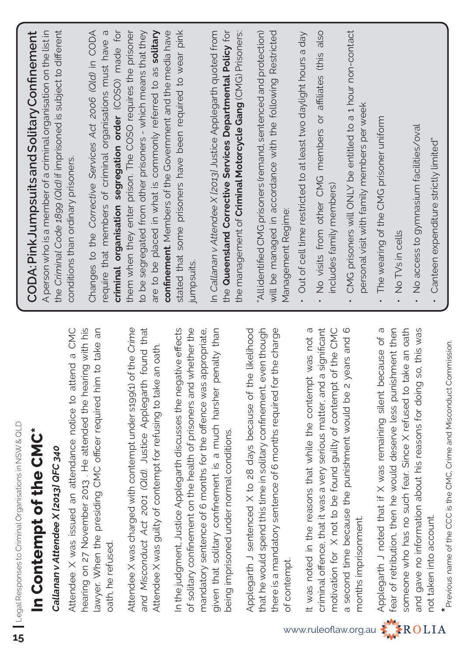| Legal Responses to Criminal Organisations in NSW & QLD<br>In Contempt of the CMC*                                                                    | CODA: Pink Jumpsuits and Solitary Confinement                                                                                            |
|------------------------------------------------------------------------------------------------------------------------------------------------------|------------------------------------------------------------------------------------------------------------------------------------------|
| Callanan v Attendee X [2013] QFC 340                                                                                                                 | the Criminal Code 1899 (Qld) if imprisoned is subject to different<br>A person who is a member of a criminal organisation on the list in |
| Attendee X was issued an attendance notice to attend a CMC                                                                                           | conditions than ordinary prisoners.                                                                                                      |
| hearing on 27 November 2013. He attended the hearing with his<br>lawyer. When the presiding CMC officer required him to take an<br>oath, he refused. | Changes to the Corrective Services Act 2006 (Old) in CODA<br>require that members of criminal organisations must have a                  |
| Attendee X was charged with contempt under s199(1) of the Crime                                                                                      | criminal organisation segregation order (COSO) made for<br>them when they enter prison. The COSO requires the prisoner                   |
| found that<br>and Misconduct Act 2001 (Qld). Justice Applegarth                                                                                      | to be segregated from other prisoners - which means that they                                                                            |
| Attendee X was guilty of contempt for refusing to take an oath.                                                                                      | are to be placed in what is commonly referred to as solitary<br>confinement. Members of the Government and the media have                |
| In the judgment, Justice Applegarth discusses the negative effects                                                                                   | stated that some prisoners have been required to wear pink                                                                               |
| of solitary confinement on the health of prisoners and whether the                                                                                   | jumpsuits                                                                                                                                |
| given that solitary confinement is a much harsher penalty than<br>mandatory sentence of 6 months for the offence was appropriate,                    | In Callanan v Attendee X (2013) Justice Applegarth quoted from                                                                           |
| being imprisoned under normal conditions.                                                                                                            | the Queensland Corrective Services Departmental Policy for                                                                               |
| Applegarth J sentenced X to 28 days because of the likelihood                                                                                        | the management of <b>Criminal Motorcycle Gang</b> (CMG) Prisoners:                                                                       |
| that he would spend this time in solitary confinement, even though                                                                                   | "Allidentified CMG prisoners (remand, sentenced and protection)                                                                          |
| there is a mandatory sentence of 6 months required for the charge<br>of contempt.                                                                    | will be managed in accordance with the following Restricted<br>Management Regime:                                                        |
| It was noted in the reasons that while the contempt was not a                                                                                        | Out of cell time restricted to at least two daylight hours a day                                                                         |
| criminal offence, that it was a very serious matter, and a significant                                                                               | No visits from other CMG members or affiliates (this also                                                                                |
| motivation for X not to be found guilty of contempt of the CMC                                                                                       | includes family members)                                                                                                                 |
| second time because the punishment would be 2 years and 6<br>$\sigma$                                                                                | CMG prisoners will ONLY be entitled to a 1 hour non-contact                                                                              |
| months imprisonment.                                                                                                                                 | personal visit with family members per week                                                                                              |
| Applegarth J noted that if X was remaining silent because of a                                                                                       | The wearing of the CMG prisoner uniform                                                                                                  |
| fear of retribution, then he would deserve less punishment then<br>someone who has no such fear. Since X refused to take an oath                     | No TVs in cells                                                                                                                          |
| and gave no information about his reasons for doing so, this was                                                                                     | No access to gymnasium facilities/oval                                                                                                   |
| not taken into account.                                                                                                                              | Canteen expenditure strictly limited"                                                                                                    |
| $*$ Previous name of the CCC is the CMC, Crime and Misconduct Commission.                                                                            |                                                                                                                                          |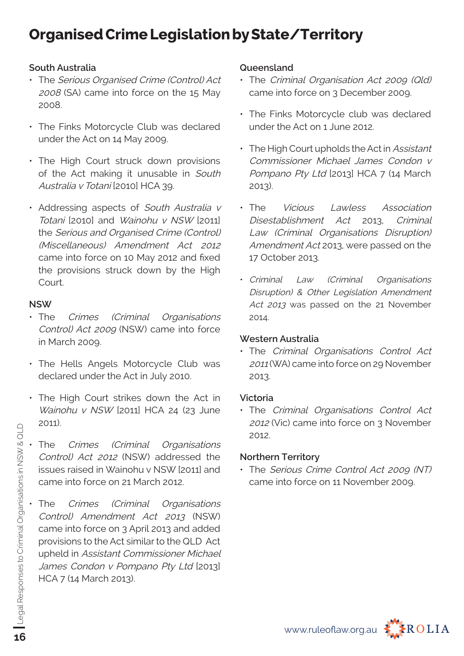# **Organised Crime Legislation by State/Territory**

#### **South Australia**

- The Serious Organised Crime (Control) Act 2008 (SA) came into force on the 15 May 2008.
- The Finks Motorcycle Club was declared under the Act on 14 May 2009.
- The High Court struck down provisions of the Act making it unusable in South Australia v Totani [2010] HCA 39.
- Addressing aspects of South Australia v Totani [2010] and Wainohu v NSW [2011] the Serious and Organised Crime (Control) (Miscellaneous) Amendment Act 2012 came into force on 10 May 2012 and fixed the provisions struck down by the High Court.

#### **NSW**

- The Crimes (Criminal Organisations Control) Act 2009 (NSW) came into force in March 2009.
- The Hells Angels Motorcycle Club was declared under the Act in July 2010.
- The High Court strikes down the Act in Wainohu v NSW [2011] HCA 24 (23 June 2011).
- The Crimes (Criminal Organisations Control) Act 2012 (NSW) addressed the issues raised in Wainohu v NSW [2011] and came into force on 21 March 2012.
- The Crimes (Criminal Organisations Control) Amendment Act 2013 (NSW) came into force on 3 April 2013 and added provisions to the Act similar to the QLD Act upheld in Assistant Commissioner Michael James Condon v Pompano Pty Ltd [2013] HCA 7 (14 March 2013).

#### **Queensland**

- The Criminal Organisation Act 2009 (Old) came into force on 3 December 2009.
- The Finks Motorcycle club was declared under the Act on 1 June 2012.
- The High Court upholds the Act in Assistant Commissioner Michael James Condon v Pompano Pty Ltd [2013] HCA 7 (14 March 2013).
- The Vicious Lawless Association Disestablishment Act 2013, Criminal Law (Criminal Organisations Disruption) Amendment Act 2013, were passed on the 17 October 2013.
- Criminal Law (Criminal Organisations Disruption) & Other Legislation Amendment Act 2013 was passed on the 21 November 2014.

#### **Western Australia**

• The Criminal Organisations Control Act <sup>2011</sup>(WA) came into force on 29 November 2013.

#### **Victoria**

• The Criminal Organisations Control Act <sup>2012</sup>(Vic) came into force on 3 November 2012.

#### **Northern Territory**

• The Serious Crime Control Act 2009 (NT) came into force on 11 November 2009.

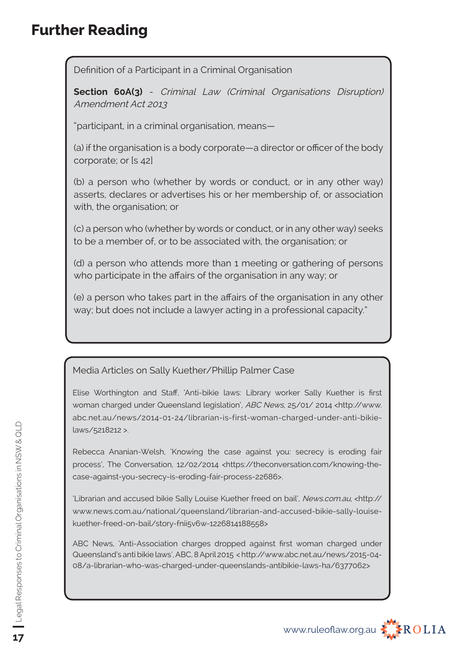# **Further Reading**

Definition of a Participant in a Criminal Organisation

**Section 60A(3)** - Criminal Law (Criminal Organisations Disruption) Amendment Act 2013

"participant, in a criminal organisation, means—

(a) if the organisation is a body corporate—a director or officer of the body corporate; or [s 42]

(b) a person who (whether by words or conduct, or in any other way) asserts, declares or advertises his or her membership of, or association with, the organisation; or

(c) a person who (whether by words or conduct, or in any other way) seeks to be a member of, or to be associated with, the organisation; or

(d) a person who attends more than 1 meeting or gathering of persons who participate in the affairs of the organisation in any way; or

(e) a person who takes part in the affairs of the organisation in any other way; but does not include a lawyer acting in a professional capacity."

Media Articles on Sally Kuether/Phillip Palmer Case

Elise Worthington and Staff, 'Anti-bikie laws: Library worker Sally Kuether is first woman charged under Queensland legislation', ABC News, 25/01/ 2014 <http://www. abc.net.au/news/2014-01-24/librarian-is-first-woman-charged-under-anti-bikielaws/5218212 >.

Rebecca Ananian-Welsh, 'Knowing the case against you: secrecy is eroding fair process', The Conversation, 12/02/2014 <https://theconversation.com/knowing-thecase-against-you-secrecy-is-eroding-fair-process-22686>.

'Librarian and accused bikie Sally Louise Kuether freed on bail', News.com.au, <http:// www.news.com.au/national/queensland/librarian-and-accused-bikie-sally-louisekuether-freed-on-bail/story-fnii5v6w-1226814188558>

ABC News, 'Anti-Association charges dropped against first woman charged under Queensland's anti bikie laws', ABC, 8 April 2015 < http://www.abc.net.au/news/2015-04- 08/a-librarian-who-was-charged-under-queenslands-antibikie-laws-ha/6377062>